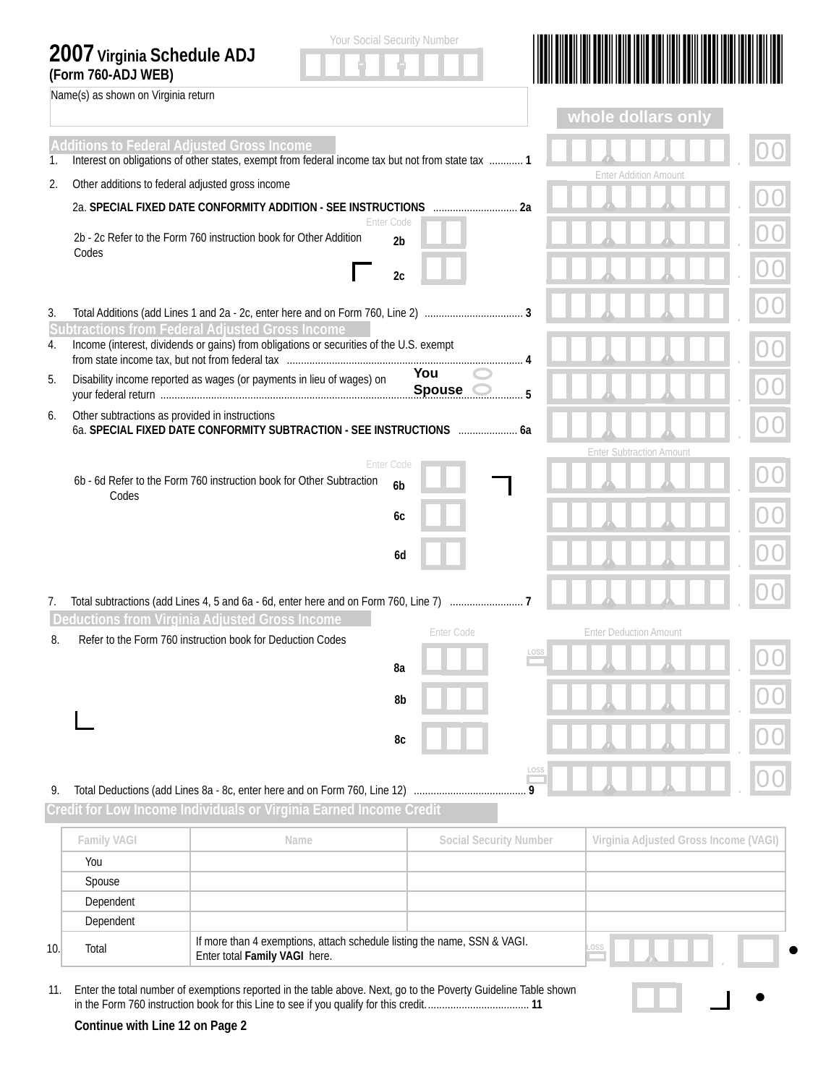## **2007 Virginia Schedule ADJ**

Name(s) as shown on Virginia return





 $\bullet$ 

|                                                                                                                                                              |                                                                                                                                       |                              |                             |   | whole dollars only              |  |  |
|--------------------------------------------------------------------------------------------------------------------------------------------------------------|---------------------------------------------------------------------------------------------------------------------------------------|------------------------------|-----------------------------|---|---------------------------------|--|--|
| <b>Additions to Federal Adjusted Gross Income</b><br>Interest on obligations of other states, exempt from federal income tax but not from state tax  1<br>1. |                                                                                                                                       |                              |                             |   |                                 |  |  |
| 2.                                                                                                                                                           | Other additions to federal adjusted gross income                                                                                      |                              |                             |   | <b>Enter Addition Amount</b>    |  |  |
|                                                                                                                                                              |                                                                                                                                       |                              |                             |   |                                 |  |  |
|                                                                                                                                                              | 2b - 2c Refer to the Form 760 instruction book for Other Addition<br>Codes                                                            | Enter Code<br>2 <sub>b</sub> |                             |   |                                 |  |  |
|                                                                                                                                                              |                                                                                                                                       | 2c                           |                             |   |                                 |  |  |
| 3.                                                                                                                                                           | <b>Subtractions from Federal Adjusted Gross Income</b>                                                                                |                              |                             |   |                                 |  |  |
| 4.                                                                                                                                                           | Income (interest, dividends or gains) from obligations or securities of the U.S. exempt                                               |                              |                             |   |                                 |  |  |
| 5.                                                                                                                                                           | Disability income reported as wages (or payments in lieu of wages) on                                                                 |                              | You<br><b>Spouse</b><br>. 5 |   |                                 |  |  |
| 6.                                                                                                                                                           | Other subtractions as provided in instructions<br>6a. SPECIAL FIXED DATE CONFORMITY SUBTRACTION - SEE INSTRUCTIONS  6a                |                              |                             |   |                                 |  |  |
|                                                                                                                                                              |                                                                                                                                       | <b>Enter Code</b>            |                             |   | <b>Enter Subtraction Amount</b> |  |  |
|                                                                                                                                                              | 6b - 6d Refer to the Form 760 instruction book for Other Subtraction<br>Codes                                                         | 6 <sub>b</sub>               |                             |   |                                 |  |  |
|                                                                                                                                                              |                                                                                                                                       | 6с                           |                             |   |                                 |  |  |
|                                                                                                                                                              |                                                                                                                                       | 6d                           |                             |   |                                 |  |  |
| 7.                                                                                                                                                           | Total subtractions (add Lines 4, 5 and 6a - 6d, enter here and on Form 760, Line 7)<br>Deductions from Virginia Adjusted Gross Income |                              |                             |   |                                 |  |  |
| 8.                                                                                                                                                           | Refer to the Form 760 instruction book for Deduction Codes                                                                            |                              | Enter Code                  |   | <b>Enter Deduction Amount</b>   |  |  |
|                                                                                                                                                              |                                                                                                                                       | 8a                           |                             |   |                                 |  |  |
|                                                                                                                                                              |                                                                                                                                       | 8b                           |                             |   |                                 |  |  |
|                                                                                                                                                              |                                                                                                                                       | 8c                           |                             |   |                                 |  |  |
| 9.                                                                                                                                                           | Total Deductions (add Lines 8a - 8c, enter here and on Form 760, Line 12)                                                             |                              |                             | Q |                                 |  |  |

**Credit for Low Income Individuals or Virginia Earned Income Credit**

|    | <b>Family VAGI</b> | Name                                                                                                      | <b>Social Security Number</b> | Virginia Adjusted Gross Income (VAGI) |  |  |  |
|----|--------------------|-----------------------------------------------------------------------------------------------------------|-------------------------------|---------------------------------------|--|--|--|
|    | You                |                                                                                                           |                               |                                       |  |  |  |
|    | Spouse             |                                                                                                           |                               |                                       |  |  |  |
|    | Dependent          |                                                                                                           |                               |                                       |  |  |  |
|    | Dependent          |                                                                                                           |                               |                                       |  |  |  |
| 10 | Total              | If more than 4 exemptions, attach schedule listing the name, SSN & VAGI.<br>Enter total Family VAGI here. |                               | LOSS                                  |  |  |  |

11. Enter the total number of exemptions reported in the table above. Next, go to the Poverty Guideline Table shown in the Form 760 instruction book for this Line to see if you qualify for this credit. .................................... **11**

**Continue with Line 12 on Page 2**